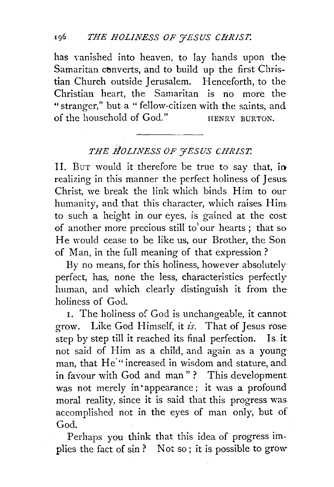has vanished into heaven, to lay hands upon the Samaritan converts, and to build up the first Christian Church outside Jerusalem. Henceforth, to the· Christian heart, the Samaritan is no more the " stranger," but a " fellow-citizen with the saints, and of the household of  $Good.$ " HENRY BURTON.

## THE HOLINESS OF **FESUS CHRIST.**

II. Bur would it therefore be true to say that, in realizing in this manner the perfect holiness of Jesus. Christ, we break the link which binds Him to our humanity, and that this character, which raises Him to such a height in our eyes, is gained at the cost of another more precious still to'our hearts; that so He would cease to be like us, our Brother, the Son of Man, in the full meaning of that expression?

By no means, for this holiness, however absolutely perfect, has, none the less, characteristics perfectly human, and which clearly distinguish it from the: holiness of God.

1. The holiness of God is unchangeable, it cannot grow. Like God Himself, it *is.* That of Jesus rose step by step till it reached its final perfection. Is it not said of Him as a child, and again as a young man, that He<sup>"</sup> increased in wisdom and stature, and in favour with God and man"? This development: was not merely in appearance; it was a profound moral reality, since it is said that this progress was. accomplished not in the eyes of man only, but of God.

Perhaps you think that this idea of progress implies the fact of sin ? Not so ; it is possible to grow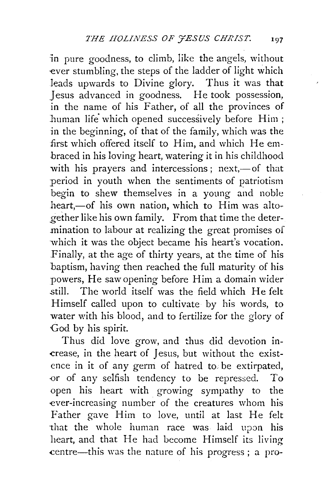in pure goodness, to climb, like the angels, without ever stumbling, the steps of the ladder of light which leads upwards to Divine glory. Thus it was that Jesus advanced in goodness. He took possession, in the name of his Father, of all the provinces of human life which opened successively before Him; in the beginning, of that of the family, which was the first which offered itself to Him, and which He embraced in his loving heart, watering it in his childhood with his prayers and intercessions; next,—of that period in youth when the sentiments of patriotism begin to shew themselves in a young and noble heart,-of his own nation, which to Him was altogether like his own family. From that time the determination to labour at realizing the great promises of which it was the object became his heart's vocation. Finally, at the age of thirty years, at the time of his baptism, having then reached the full maturity of his powers, He saw opening before Him a domain wider .still. The world itself was the field which He felt Himself called upon to cultivate by his words, to water with his blood, and to fertilize for the glory of God by his spirit.

Thus did love grow, and thus did devotion in- -crease, in the heart of Jesus, but without the existence in it of any germ of hatred to. be extirpated, -0r of any selfish tendency to be repressed. To open his heart with growing sympathy to the ever-increasing number of the creatures whom his Father gave Him to love, until at last He felt that the whole human race was laid upon his heart, and that He had become Himself its living .centre-this was the nature of his progress ; a pro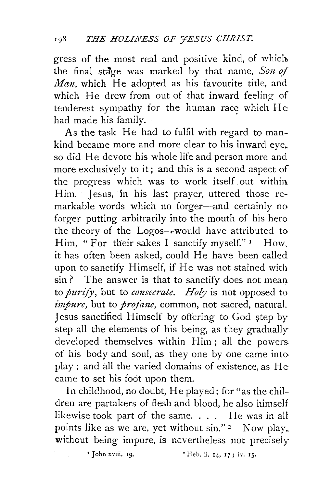gress of the most real and positive kind, of which the final stage was marked by that name, *Son of Man*, which He adopted as his favourite title, and which He drew from out of that inward feeling of tenderest sympathy for the human race which  $He$ had made his family.

As the task He had to fulfil with regard to mankind became more and more clear to his inward eye. so did He devote his whole life and person more and more exclusively to it; and this is a second aspect of the progress which was to work itself out within Him. Jesus, in his last prayer, uttered those remarkable words which no forger-and certainly no forger putting arbitrarily into the mouth of his hero the theory of the  $Logos$ -rwould have attributed to Him, "For their sakes I sanctify myself."  $\frac{1}{1}$  How. it has often been asked, could He have been called upon to sanctify Himself, if He was not stained with sin? The answer is that to sanctify does not mean to *purify*, but to *consecrate. Holy* is not opposed to *impure,* but to *profane,* common, not sacred, natural. Jesus sanctified Himself by offering to God step by step all the elements of his being, as they gradually developed themselves within Him; all the powers of his body and soul, as they one by one came into play; and all the varied domains of existence, as He came to set his foot upon them.

In chilchood, no doubt, He played; for "as the children are partakers of flesh and blood, he also himself likewise took part of the same. . . . He was in all points like as we are, yet without  $sin$ ." 2 Now play, without being impure, is nevertheless not precisely

<sup>1</sup> John xviii. 19. <sup>2</sup> Heb. ii. 14, 17; iv. 15.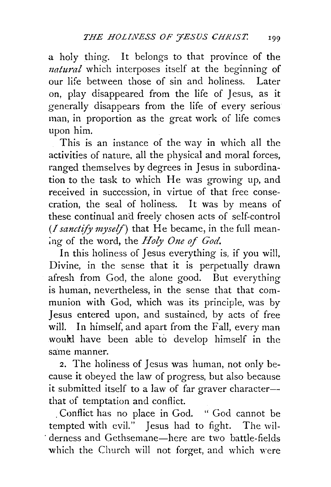a holy thing. It belongs to that province of the *natural* which interposes itself at the beginning of our life between those of sin and holiness. Later on, play disappeared from the life of Jesus, as it generally disappears from the life of every serious man, in proportion as the great work of life comes upon him.

This is an instance of the way in which all the activities of nature, all the physical and moral forces, ranged themselves by degrees in Jesus in subordination to the task to which He was growing up, and received in succession, in virtue of that free consecration, the seal of holiness. It was by means of these continual and freely chosen acts of self-control *(/sanctify myself)* that He became, in the full mean- ;ng of the word, the *Holy One of God.* 

In this holiness of Jesus everything is, if you will, Divine, in the sense that it is perpetually drawn afresh from God, the alone good. But everything is human, nevertheless, in the sense that that communion with God, which was its principle, was by Jesus entered upon, and sustained, by acts of free will. In himself, and apart from the Fall, every man woultl have been able to develop himself in the same manner.

*2.* The holiness of Jesus was human, not only because it obeyed the law of progress, but also because it submitted itself to a law of far graver character- that of temptation and conflict.

. Conflict has no place in God. " God cannot be tempted with evil." Jesus had to fight. The wil derness and Gethsemane—here are two battle-fields which the Church will not forget, and which were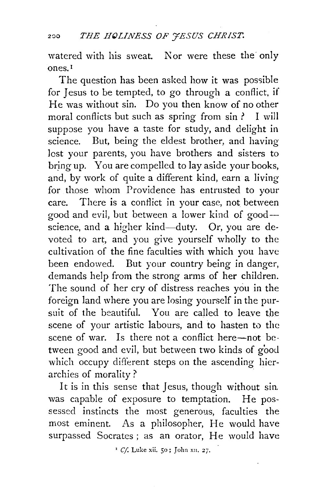watered with his sweat. Nor were these the only ones. <sup>1</sup>

The question has been asked how it was possible for Jesus to be tempted, to go through a conflict, if He was without sin. Do you then know of no other moral conflicts but such as spring from sin ? I will suppose you have a taste for study, and delight in science. But, being the eldest brother, and having lost your parents, you have brothers and sisters to bring up. You are compelled to lay aside your books, and, by work of quite a different kind, earn a living for those whom Providence has entrusted to your care. There is a conflict in your case, not between good and evil, but between a lower kind of good- science, and a higher kind-duty. Or, you are devoted to art, and you give yourself wholly to the cultivation of the fine faculties with which you have been endowed. But your country being in danger, demands help from the strong arms of her children. The sound of her cry of distress reaches you in the foreign land where you are losing yourself in the pursuit of the beautiful. You are called to leave the scene of your artistic labours, and to hasten to the scene of war. Is there not a conflict here-not between good and evil, but between two kinds of good which occupy different steps on the ascending hierarchies of morality? .

It is in this sense that Jesus, though without sin. was capable of exposure to temptation. He possessed instincts the most generous, faculties the most eminent. As a philosopher, He would have surpassed Socrates; as an orator, He would have

<sup>&#</sup>x27; *Cf* Luke xii. 50; John x11. 2j.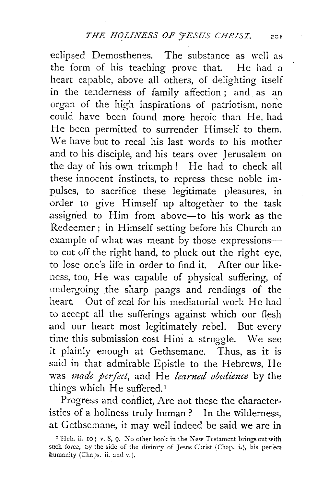eclipsed Demosthenes. The substance as well as the form of his teaching prove that. He had a heart capable, above all others, of delighting itself in the tenderness of family affection ; and as an organ of the high inspirations of patriotism, none could have been found more heroic than He, had He been permitted to surrender Himself to them. We have but to recal his last words to his mother and to his disciple, and his tears over Jerusalem on the day of his own triumph! He had to check all these innocent instincts, to repress these noble impulses, to sacrifice these legitimate pleasures, in order to give Himself up altogether to the task assigned to Him from above-to his work as the Redeemer; in Himself setting before his Church an example of what was meant by those expressionsto cut off the right hand, to pluck out the right eye, to lose one's life in order to find it. After our likeness, too, He was capable of physical suffering, of undergoing the sharp pangs and rendings of the heart. Out of zeal for his mediatorial work He had to accept aII the sufferings against which our flesh and our heart most legitimately rebel. But every time this submission cost Him a struggle. We see it plainly enough at Gethsemane. Thus, as it is said in that admirable Epistle to the Hebrews, He was *made pc1:fect,* and He *learned obedience* by the things which He suffered.<sup>1</sup>

Progress and conflict, Are not these the characteristics of a holiness truly human ? In the wilderness, at Gethsemane, it may well indeed be said we are in

<sup>&#</sup>x27; Heb. ii. IO ; v. S, 9. No other hook in the New Testament brings out with such force, by the side of the divinity of Jesus Christ (Chap. i.), his perfect humanity (Chaps. ii. and v. ).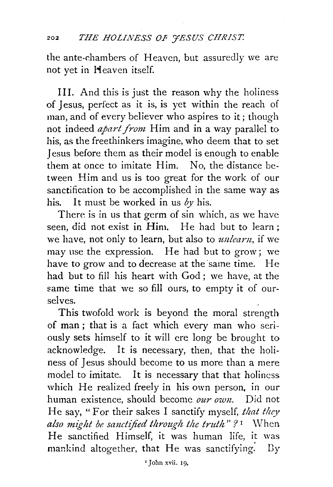the ante-chambers of Heaven, but assuredly we are not yet in Heaven itself.

III. And this is just the reason why the holiness of Jesus, perfect as it is, is yet within the reach of man, and of every believer who aspires to it; though not indeed *apart from* Him and in a way parallel to his, as the freethinkers imagine, who deem that to set Jesus before them as their model is enough to enable them at once to imitate Him. No, the distance between Him and us is too great for the work of our sanctification to be accomplished in the same way as his. It must be worked in us  $\delta y$  his.

There is in us that germ of sin which, as we have seen, did not exist in Him. He had but to learn; we have, not only to learn, but also to *unlearn,* if we may use the expression. He had but to grow; we have to grow and to decrease at the same time. He had but to fill his heart with God; we have, at the same time that we so fill ours, to empty it of ourselves.

This twofold work is beyond the moral strength of man; that is a fact which every man who seriously sets himself to it will ere long be brought to acknowledge. It is necessary, then, that the holiness of Jesus should become to us more than a mere model to imitate. It is necessary that that holiness which He realized freely in his own person, in our human existence, should become *our own.* Did not He say, "For their sakes I sanctify myself, *that they also might be sanctified through the truth"?* 1 \Vhen He sanctified Himself, it was human life, it was mankind altogether, that He was sanctifying. By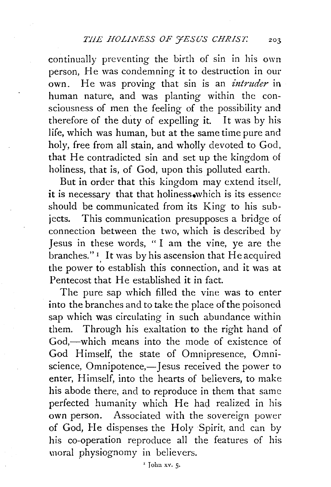continually preventing the birth of sin in his own person, He was condemning it to destruction in our own. He was proving that sin is an *intruder* in human nature, and was planting within the consciousness of men the feeling of the possibility and therefore of the duty of expelling it. It was by his life, which was human, but at the same time pure and holy, free from all stain, and wholly devoted to God, that He contradicted sin and set up the kingdom of holiness, that is, of God, upon this polluted earth.

But in order that this kingdom may extend itself, it is necessary that that holiness.which is its essence should be communicated from its King to his subjects. This communication presupposes a bridge of connection between the two, which is described by Jesus in these words, " I am the vine, ye are the branches." 1 It was by his ascension that He acquired the power to establish this connection, and it was at Pentecost that He established it in fact.

The pure sap which filled the vine was to enter into the branches and to take the place of the poisoned sap which was circulating in such abundance within them. Through his exaltation to the right hand of God,-which means into the mode of existence of God Himself, the state of Omnipresence, Omniscience, Omnipotence,-Jesus received the power to enter, Himself, into the hearts of believers, to make his abode there, and to reproduce in them that same perfected humanity which He had realized in his own person. Associated with the sovereign power of God, He dispenses the Holy Spirit, and can by his co-operation reproduce all the features of his moral physiognomy in believers.

'John xv. *5.*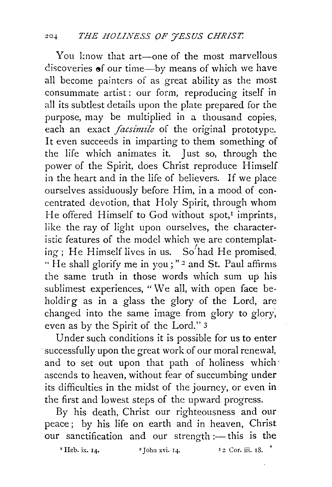You know that art-one of the most marvellous discoveries  $\bullet$ f our time--by means of which we have all become painters of as great ability as the most consummate artist: our form, reproducing itself in all its subtlest details upon the plate prepared for the purpose, may be multiplied in a thousand copies, each an exact *facsimile* of the original prototype. It even succeeds in imparting to them something of the life which animates it. Just so, through the power of the Spirit, does Christ reproduce Himself in the heart and in the life of believers. If we place ourselves assiduously before Him, in a mood of concentrated devotion, that Holy Spirit, through whom He offered Himself to God without spot, $I$  imprints, like the ray of light upon ourselves, the characteristic features of the model which we are contemplating; He Himself lives in us. So<sup> $\prime$ </sup>had He promised, " He shall glorify me in you;"<sup>2</sup> and St. Paul affirms the same truth in those words which sum up his sublimest experiences, "We all, with open face beholdirg as in a glass the glory of the Lord, are changed into the same image from glory to glory, even as by the Spirit of the Lord." 3

Under such conditions it is possible for us to enter successfully upon the great work of our moral renewal, and to set out upon that path of holiness which· ascends to heaven, without fear of succumbing under its difficulties in the midst of the journey, or even in the first and lowest steps of the upward progress.

By his death, Christ our righteousness and our peace; by his life on earth and in heaven, Christ our sanctification and our strength :- this is the

 $\text{`Heb. ix. 14.}$   $\text{`Iohn xvi. 14.}$   $\text{`32 Cor. iii. 18.}$